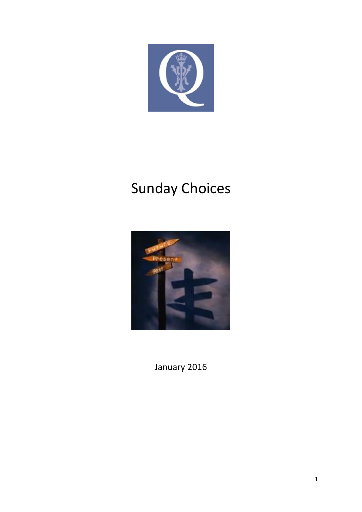

# Sunday Choices



January 2016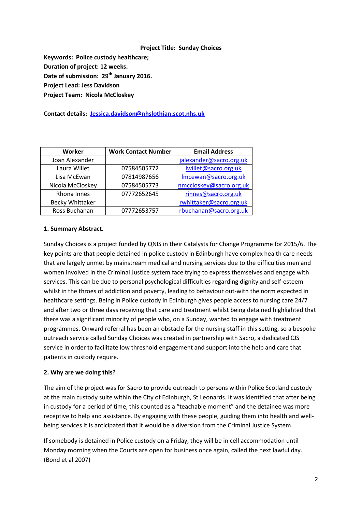#### **Project Title: Sunday Choices**

**Keywords: Police custody healthcare; Duration of project: 12 weeks. Date of submission: 29th January 2016. Project Lead: Jess Davidson Project Team: Nicola McCloskey**

**Contact details: [Jessica.davidson@nhslothian.scot.nhs.uk](mailto:Jessica.davidson@nhslothian.scot.nhs.uk)**

| Worker                 | <b>Work Contact Number</b> | <b>Email Address</b>    |
|------------------------|----------------------------|-------------------------|
| Joan Alexander         |                            | jalexander@sacro.org.uk |
| Laura Willet           | 07584505772                | lwillet@sacro.org.uk    |
| Lisa McEwan            | 07814987656                | Imcewan@sacro.org.uk    |
| Nicola McCloskey       | 07584505773                | nmccloskey@sacro.org.uk |
| Rhona Innes            | 07772652645                | rinnes@sacro.org.uk     |
| <b>Becky Whittaker</b> |                            | rwhittaker@sacro.org.uk |
| Ross Buchanan          | 07772653757                | rbuchanan@sacro.org.uk  |

#### **1. Summary Abstract.**

Sunday Choices is a project funded by QNIS in their Catalysts for Change Programme for 2015/6. The key points are that people detained in police custody in Edinburgh have complex health care needs that are largely unmet by mainstream medical and nursing services due to the difficulties men and women involved in the Criminal Justice system face trying to express themselves and engage with services. This can be due to personal psychological difficulties regarding dignity and self-esteem whilst in the throes of addiction and poverty, leading to behaviour out-with the norm expected in healthcare settings. Being in Police custody in Edinburgh gives people access to nursing care 24/7 and after two or three days receiving that care and treatment whilst being detained highlighted that there was a significant minority of people who, on a Sunday, wanted to engage with treatment programmes. Onward referral has been an obstacle for the nursing staff in this setting, so a bespoke outreach service called Sunday Choices was created in partnership with Sacro, a dedicated CJS service in order to facilitate low threshold engagement and support into the help and care that patients in custody require.

#### **2. Why are we doing this?**

The aim of the project was for Sacro to provide outreach to persons within Police Scotland custody at the main custody suite within the City of Edinburgh, St Leonards. It was identified that after being in custody for a period of time, this counted as a "teachable moment" and the detainee was more receptive to help and assistance. By engaging with these people, guiding them into health and wellbeing services it is anticipated that it would be a diversion from the Criminal Justice System.

If somebody is detained in Police custody on a Friday, they will be in cell accommodation until Monday morning when the Courts are open for business once again, called the next lawful day. (Bond et al 2007)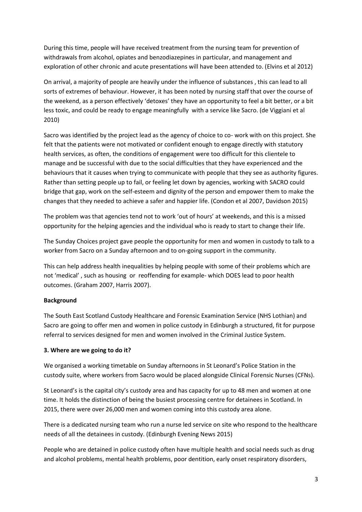During this time, people will have received treatment from the nursing team for prevention of withdrawals from alcohol, opiates and benzodiazepines in particular, and management and exploration of other chronic and acute presentations will have been attended to. (Elvins et al 2012)

On arrival, a majority of people are heavily under the influence of substances , this can lead to all sorts of extremes of behaviour. However, it has been noted by nursing staff that over the course of the weekend, as a person effectively 'detoxes' they have an opportunity to feel a bit better, or a bit less toxic, and could be ready to engage meaningfully with a service like Sacro. (de Viggiani et al 2010)

Sacro was identified by the project lead as the agency of choice to co- work with on this project. She felt that the patients were not motivated or confident enough to engage directly with statutory health services, as often, the conditions of engagement were too difficult for this clientele to manage and be successful with due to the social difficulties that they have experienced and the behaviours that it causes when trying to communicate with people that they see as authority figures. Rather than setting people up to fail, or feeling let down by agencies, working with SACRO could bridge that gap, work on the self-esteem and dignity of the person and empower them to make the changes that they needed to achieve a safer and happier life. (Condon et al 2007, Davidson 2015)

The problem was that agencies tend not to work 'out of hours' at weekends, and this is a missed opportunity for the helping agencies and the individual who is ready to start to change their life.

The Sunday Choices project gave people the opportunity for men and women in custody to talk to a worker from Sacro on a Sunday afternoon and to on-going support in the community.

This can help address health inequalities by helping people with some of their problems which are not 'medical' , such as housing or reoffending for example- which DOES lead to poor health outcomes. (Graham 2007, Harris 2007).

# **Background**

The South East Scotland Custody Healthcare and Forensic Examination Service (NHS Lothian) and Sacro are going to offer men and women in police custody in Edinburgh a structured, fit for purpose referral to services designed for men and women involved in the Criminal Justice System.

# **3. Where are we going to do it?**

We organised a working timetable on Sunday afternoons in St Leonard's Police Station in the custody suite, where workers from Sacro would be placed alongside Clinical Forensic Nurses (CFNs).

St Leonard's is the capital city's custody area and has capacity for up to 48 men and women at one time. It holds the distinction of being the busiest processing centre for detainees in Scotland. In 2015, there were over 26,000 men and women coming into this custody area alone.

There is a dedicated nursing team who run a nurse led service on site who respond to the healthcare needs of all the detainees in custody. (Edinburgh Evening News 2015)

People who are detained in police custody often have multiple health and social needs such as drug and alcohol problems, mental health problems, poor dentition, early onset respiratory disorders,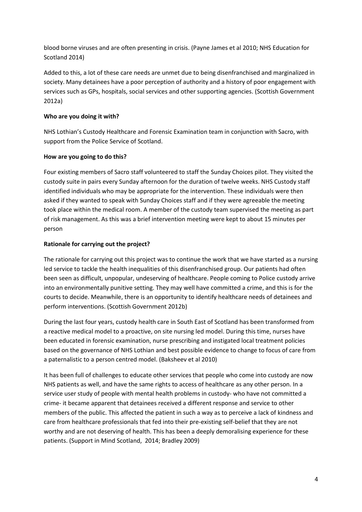blood borne viruses and are often presenting in crisis. (Payne James et al 2010; NHS Education for Scotland 2014)

Added to this, a lot of these care needs are unmet due to being disenfranchised and marginalized in society. Many detainees have a poor perception of authority and a history of poor engagement with services such as GPs, hospitals, social services and other supporting agencies. (Scottish Government 2012a)

# **Who are you doing it with?**

NHS Lothian's Custody Healthcare and Forensic Examination team in conjunction with Sacro, with support from the Police Service of Scotland.

# **How are you going to do this?**

Four existing members of Sacro staff volunteered to staff the Sunday Choices pilot. They visited the custody suite in pairs every Sunday afternoon for the duration of twelve weeks. NHS Custody staff identified individuals who may be appropriate for the intervention. These individuals were then asked if they wanted to speak with Sunday Choices staff and if they were agreeable the meeting took place within the medical room. A member of the custody team supervised the meeting as part of risk management. As this was a brief intervention meeting were kept to about 15 minutes per person

# **Rationale for carrying out the project?**

The rationale for carrying out this project was to continue the work that we have started as a nursing led service to tackle the health inequalities of this disenfranchised group. Our patients had often been seen as difficult, unpopular, undeserving of healthcare. People coming to Police custody arrive into an environmentally punitive setting. They may well have committed a crime, and this is for the courts to decide. Meanwhile, there is an opportunity to identify healthcare needs of detainees and perform interventions. (Scottish Government 2012b)

During the last four years, custody health care in South East of Scotland has been transformed from a reactive medical model to a proactive, on site nursing led model. During this time, nurses have been educated in forensic examination, nurse prescribing and instigated local treatment policies based on the governance of NHS Lothian and best possible evidence to change to focus of care from a paternalistic to a person centred model. (Baksheev et al 2010)

It has been full of challenges to educate other services that people who come into custody are now NHS patients as well, and have the same rights to access of healthcare as any other person. In a service user study of people with mental health problems in custody- who have not committed a crime- it became apparent that detainees received a different response and service to other members of the public. This affected the patient in such a way as to perceive a lack of kindness and care from healthcare professionals that fed into their pre-existing self-belief that they are not worthy and are not deserving of health. This has been a deeply demoralising experience for these patients. (Support in Mind Scotland, 2014; Bradley 2009)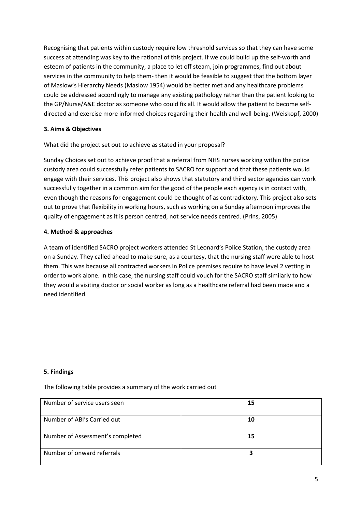Recognising that patients within custody require low threshold services so that they can have some success at attending was key to the rational of this project. If we could build up the self-worth and esteem of patients in the community, a place to let off steam, join programmes, find out about services in the community to help them- then it would be feasible to suggest that the bottom layer of Maslow's Hierarchy Needs (Maslow 1954) would be better met and any healthcare problems could be addressed accordingly to manage any existing pathology rather than the patient looking to the GP/Nurse/A&E doctor as someone who could fix all. It would allow the patient to become selfdirected and exercise more informed choices regarding their health and well-being. (Weiskopf, 2000)

# **3. Aims & Objectives**

What did the project set out to achieve as stated in your proposal?

Sunday Choices set out to achieve proof that a referral from NHS nurses working within the police custody area could successfully refer patients to SACRO for support and that these patients would engage with their services. This project also shows that statutory and third sector agencies can work successfully together in a common aim for the good of the people each agency is in contact with, even though the reasons for engagement could be thought of as contradictory. This project also sets out to prove that flexibility in working hours, such as working on a Sunday afternoon improves the quality of engagement as it is person centred, not service needs centred. (Prins, 2005)

# **4. Method & approaches**

A team of identified SACRO project workers attended St Leonard's Police Station, the custody area on a Sunday. They called ahead to make sure, as a courtesy, that the nursing staff were able to host them. This was because all contracted workers in Police premises require to have level 2 vetting in order to work alone. In this case, the nursing staff could vouch for the SACRO staff similarly to how they would a visiting doctor or social worker as long as a healthcare referral had been made and a need identified.

#### **5. Findings**

The following table provides a summary of the work carried out

| Number of service users seen     | 15 |
|----------------------------------|----|
| Number of ABI's Carried out      | 10 |
| Number of Assessment's completed | 15 |
| Number of onward referrals       |    |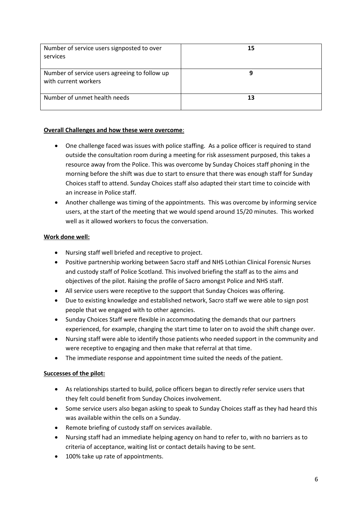| Number of service users signposted to over<br>services                | 15 |
|-----------------------------------------------------------------------|----|
| Number of service users agreeing to follow up<br>with current workers |    |
| Number of unmet health needs                                          | 13 |

# **Overall Challenges and how these were overcome**:

- One challenge faced was issues with police staffing. As a police officer is required to stand outside the consultation room during a meeting for risk assessment purposed, this takes a resource away from the Police. This was overcome by Sunday Choices staff phoning in the morning before the shift was due to start to ensure that there was enough staff for Sunday Choices staff to attend. Sunday Choices staff also adapted their start time to coincide with an increase in Police staff.
- Another challenge was timing of the appointments. This was overcome by informing service users, at the start of the meeting that we would spend around 15/20 minutes. This worked well as it allowed workers to focus the conversation.

# **Work done well:**

- Nursing staff well briefed and receptive to project.
- Positive partnership working between Sacro staff and NHS Lothian Clinical Forensic Nurses and custody staff of Police Scotland. This involved briefing the staff as to the aims and objectives of the pilot. Raising the profile of Sacro amongst Police and NHS staff.
- All service users were receptive to the support that Sunday Choices was offering.
- Due to existing knowledge and established network, Sacro staff we were able to sign post people that we engaged with to other agencies.
- Sunday Choices Staff were flexible in accommodating the demands that our partners experienced, for example, changing the start time to later on to avoid the shift change over.
- Nursing staff were able to identify those patients who needed support in the community and were receptive to engaging and then make that referral at that time.
- The immediate response and appointment time suited the needs of the patient.

# **Successes of the pilot:**

- As relationships started to build, police officers began to directly refer service users that they felt could benefit from Sunday Choices involvement.
- Some service users also began asking to speak to Sunday Choices staff as they had heard this was available within the cells on a Sunday.
- Remote briefing of custody staff on services available.
- Nursing staff had an immediate helping agency on hand to refer to, with no barriers as to criteria of acceptance, waiting list or contact details having to be sent.
- 100% take up rate of appointments.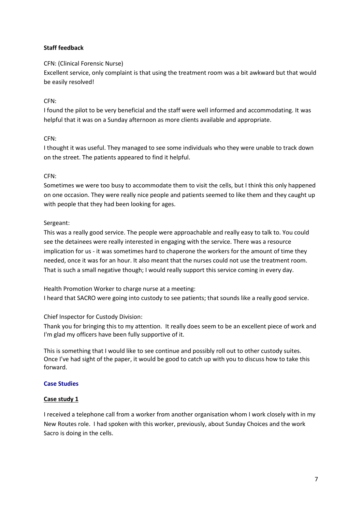# **Staff feedback**

# CFN: (Clinical Forensic Nurse)

Excellent service, only complaint is that using the treatment room was a bit awkward but that would be easily resolved!

# CFN:

I found the pilot to be very beneficial and the staff were well informed and accommodating. It was helpful that it was on a Sunday afternoon as more clients available and appropriate.

# CFN:

I thought it was useful. They managed to see some individuals who they were unable to track down on the street. The patients appeared to find it helpful.

# CFN:

Sometimes we were too busy to accommodate them to visit the cells, but I think this only happened on one occasion. They were really nice people and patients seemed to like them and they caught up with people that they had been looking for ages.

# Sergeant:

This was a really good service. The people were approachable and really easy to talk to. You could see the detainees were really interested in engaging with the service. There was a resource implication for us - it was sometimes hard to chaperone the workers for the amount of time they needed, once it was for an hour. It also meant that the nurses could not use the treatment room. That is such a small negative though; I would really support this service coming in every day.

Health Promotion Worker to charge nurse at a meeting: I heard that SACRO were going into custody to see patients; that sounds like a really good service.

# Chief Inspector for Custody Division:

Thank you for bringing this to my attention. It really does seem to be an excellent piece of work and I'm glad my officers have been fully supportive of it.

This is something that I would like to see continue and possibly roll out to other custody suites. Once I've had sight of the paper, it would be good to catch up with you to discuss how to take this forward.

# **Case Studies**

# **Case study 1**

I received a telephone call from a worker from another organisation whom I work closely with in my New Routes role. I had spoken with this worker, previously, about Sunday Choices and the work Sacro is doing in the cells.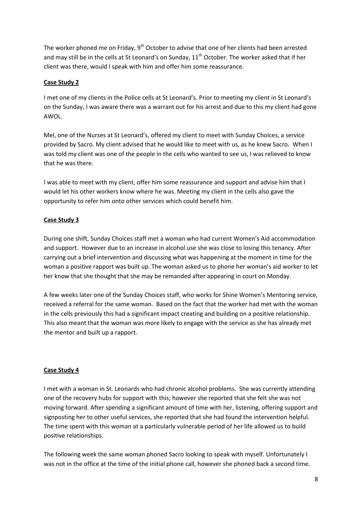The worker phoned me on Friday,  $9<sup>th</sup>$  October to advise that one of her clients had been arrested and may still be in the cells at St Leonard's on Sunday,  $11<sup>th</sup>$  October. The worker asked that if her client was there, would I speak with him and offer him some reassurance.

#### **Case Study 2**

I met one of my clients in the Police cells at St Leonard's. Prior to meeting my client in St Leonard's on the Sunday, I was aware there was a warrant out for his arrest and due to this my client had gone AWOL.

Mel, one of the Nurses at St Leonard's, offered my client to meet with Sunday Choices, a service provided by Sacro. My client advised that he would like to meet with us, as he knew Sacro. When I was told my client was one of the people in the cells who wanted to see us, I was relieved to know that he was there.

I was able to meet with my client, offer him some reassurance and support and advise him that I would let his other workers know where he was. Meeting my client in the cells also gave the opportunity to refer him onto other services which could benefit him.

# **Case Study 3**

During one shift, Sunday Choices staff met a woman who had current Women's Aid accommodation and support. However due to an increase in alcohol use she was close to losing this tenancy. After carrying out a brief intervention and discussing what was happening at the moment in time for the woman a positive rapport was built up. The woman asked us to phone her woman's aid worker to let her know that she thought that she may be remanded after appearing in court on Monday.

A few weeks later one of the Sunday Choices staff, who works for Shine Women's Mentoring service, received a referral for the same woman. Based on the fact that the worker had met with the woman in the cells previously this had a significant impact creating and building on a positive relationship. This also meant that the woman was more likely to engage with the service as she has already met the mentor and built up a rapport.

# **Case Study 4**

I met with a woman in St. Leonards who had chronic alcohol problems. She was currently attending one of the recovery hubs for support with this; however she reported that she felt she was not moving forward. After spending a significant amount of time with her, listening, offering support and signposting her to other useful services, she reported that she had found the intervention helpful. The time spent with this woman at a particularly vulnerable period of her life allowed us to build positive relationships.

The following week the same woman phoned Sacro looking to speak with myself. Unfortunately I was not in the office at the time of the initial phone call, however she phoned back a second time.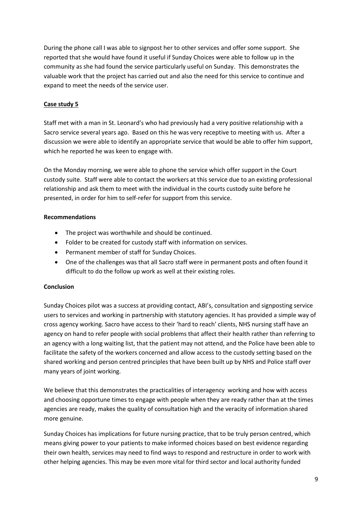During the phone call I was able to signpost her to other services and offer some support. She reported that she would have found it useful if Sunday Choices were able to follow up in the community as she had found the service particularly useful on Sunday. This demonstrates the valuable work that the project has carried out and also the need for this service to continue and expand to meet the needs of the service user.

# **Case study 5**

Staff met with a man in St. Leonard's who had previously had a very positive relationship with a Sacro service several years ago. Based on this he was very receptive to meeting with us. After a discussion we were able to identify an appropriate service that would be able to offer him support, which he reported he was keen to engage with.

On the Monday morning, we were able to phone the service which offer support in the Court custody suite. Staff were able to contact the workers at this service due to an existing professional relationship and ask them to meet with the individual in the courts custody suite before he presented, in order for him to self-refer for support from this service.

# **Recommendations**

- The project was worthwhile and should be continued.
- Folder to be created for custody staff with information on services.
- Permanent member of staff for Sunday Choices.
- One of the challenges was that all Sacro staff were in permanent posts and often found it difficult to do the follow up work as well at their existing roles.

# **Conclusion**

Sunday Choices pilot was a success at providing contact, ABI's, consultation and signposting service users to services and working in partnership with statutory agencies. It has provided a simple way of cross agency working. Sacro have access to their 'hard to reach' clients, NHS nursing staff have an agency on hand to refer people with social problems that affect their health rather than referring to an agency with a long waiting list, that the patient may not attend, and the Police have been able to facilitate the safety of the workers concerned and allow access to the custody setting based on the shared working and person centred principles that have been built up by NHS and Police staff over many years of joint working.

We believe that this demonstrates the practicalities of interagency working and how with access and choosing opportune times to engage with people when they are ready rather than at the times agencies are ready, makes the quality of consultation high and the veracity of information shared more genuine.

Sunday Choices has implications for future nursing practice, that to be truly person centred, which means giving power to your patients to make informed choices based on best evidence regarding their own health, services may need to find ways to respond and restructure in order to work with other helping agencies. This may be even more vital for third sector and local authority funded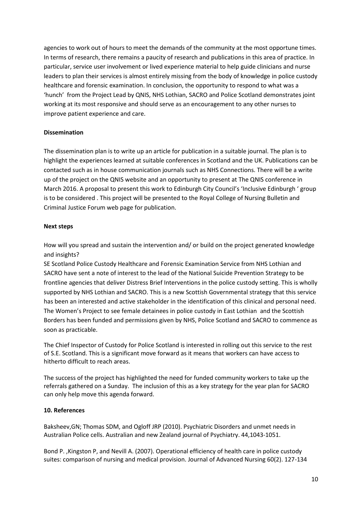agencies to work out of hours to meet the demands of the community at the most opportune times. In terms of research, there remains a paucity of research and publications in this area of practice. In particular, service user involvement or lived experience material to help guide clinicians and nurse leaders to plan their services is almost entirely missing from the body of knowledge in police custody healthcare and forensic examination. In conclusion, the opportunity to respond to what was a 'hunch' from the Project Lead by QNIS, NHS Lothian, SACRO and Police Scotland demonstrates joint working at its most responsive and should serve as an encouragement to any other nurses to improve patient experience and care.

# **Dissemination**

The dissemination plan is to write up an article for publication in a suitable journal. The plan is to highlight the experiences learned at suitable conferences in Scotland and the UK. Publications can be contacted such as in house communication journals such as NHS Connections. There will be a write up of the project on the QNIS website and an opportunity to present at The QNIS conference in March 2016. A proposal to present this work to Edinburgh City Council's 'Inclusive Edinburgh ' group is to be considered . This project will be presented to the Royal College of Nursing Bulletin and Criminal Justice Forum web page for publication.

#### **Next steps**

How will you spread and sustain the intervention and/ or build on the project generated knowledge and insights?

SE Scotland Police Custody Healthcare and Forensic Examination Service from NHS Lothian and SACRO have sent a note of interest to the lead of the National Suicide Prevention Strategy to be frontline agencies that deliver Distress Brief Interventions in the police custody setting. This is wholly supported by NHS Lothian and SACRO. This is a new Scottish Governmental strategy that this service has been an interested and active stakeholder in the identification of this clinical and personal need. The Women's Project to see female detainees in police custody in East Lothian and the Scottish Borders has been funded and permissions given by NHS, Police Scotland and SACRO to commence as soon as practicable.

The Chief Inspector of Custody for Police Scotland is interested in rolling out this service to the rest of S.E. Scotland. This is a significant move forward as it means that workers can have access to hitherto difficult to reach areas.

The success of the project has highlighted the need for funded community workers to take up the referrals gathered on a Sunday. The inclusion of this as a key strategy for the year plan for SACRO can only help move this agenda forward.

#### **10. References**

Baksheev,GN; Thomas SDM, and Ogloff JRP (2010). Psychiatric Disorders and unmet needs in Australian Police cells. Australian and new Zealand journal of Psychiatry. 44,1043-1051.

Bond P. ,Kingston P, and Nevill A. (2007). Operational efficiency of health care in police custody suites: comparison of nursing and medical provision. Journal of Advanced Nursing 60(2). 127-134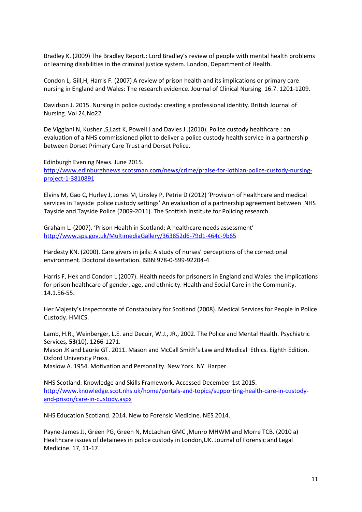Bradley K. (2009) The Bradley Report.: Lord Bradley's review of people with mental health problems or learning disabilities in the criminal justice system. London, Department of Health.

Condon L, Gill,H, Harris F. (2007) A review of prison health and its implications or primary care nursing in England and Wales: The research evidence. Journal of Clinical Nursing. 16.7. 1201-1209.

Davidson J. 2015. Nursing in police custody: creating a professional identity. British Journal of Nursing. Vol 24,No22

De Viggiani N, Kusher ,S,Last K, Powell J and Davies J .(2010). Police custody healthcare : an evaluation of a NHS commissioned pilot to deliver a police custody health service in a partnership between Dorset Primary Care Trust and Dorset Police.

Edinburgh Evening News. June 2015.

[http://www.edinburghnews.scotsman.com/news/crime/praise-for-lothian-police-custody-nursing](http://www.edinburghnews.scotsman.com/news/crime/praise-for-lothian-police-custody-nursing-project-1-3810891)[project-1-3810891](http://www.edinburghnews.scotsman.com/news/crime/praise-for-lothian-police-custody-nursing-project-1-3810891)

Elvins M, Gao C, Hurley J, Jones M, Linsley P, Petrie D (2012) 'Provision of healthcare and medical services in Tayside police custody settings' An evaluation of a partnership agreement between NHS Tayside and Tayside Police (2009-2011). The Scottish Institute for Policing research.

Graham L. (2007). 'Prison Health in Scotland: A healthcare needs assessment' <http://www.sps.gov.uk/MultimediaGallery/363852d6-79d1-464c-9b65>

Hardesty KN. (2000). Care givers in jails: A study of nurses' perceptions of the correctional environment. Doctoral dissertation. ISBN:978-0-599-92204-4

Harris F, Hek and Condon L (2007). Health needs for prisoners in England and Wales: the implications for prison healthcare of gender, age, and ethnicity. Health and Social Care in the Community. 14.1.56-55.

Her Majesty's Inspectorate of Constabulary for Scotland (2008). Medical Services for People in Police Custody. HMICS.

Lamb, H.R., Weinberger, L.E. and Decuir, W.J., JR., 2002. The Police and Mental Health. Psychiatric Services*,* **53**(10), 1266-1271.

Mason JK and Laurie GT. 2011. Mason and McCall Smith's Law and Medical Ethics. Eighth Edition. Oxford University Press.

Maslow A. 1954. Motivation and Personality. New York. NY. Harper.

NHS Scotland. Knowledge and Skills Framework. Accessed December 1st 2015. [http://www.knowledge.scot.nhs.uk/home/portals-and-topics/supporting-health-care-in-custody](http://www.knowledge.scot.nhs.uk/home/portals-and-topics/supporting-health-care-in-custody-and-prison/care-in-custody.aspx)[and-prison/care-in-custody.aspx](http://www.knowledge.scot.nhs.uk/home/portals-and-topics/supporting-health-care-in-custody-and-prison/care-in-custody.aspx)

NHS Education Scotland. 2014. New to Forensic Medicine. NES 2014.

Payne-James JJ, Green PG, Green N, McLachan GMC ,Munro MHWM and Morre TCB. (2010 a) Healthcare issues of detainees in police custody in London,UK. Journal of Forensic and Legal Medicine. 17, 11-17